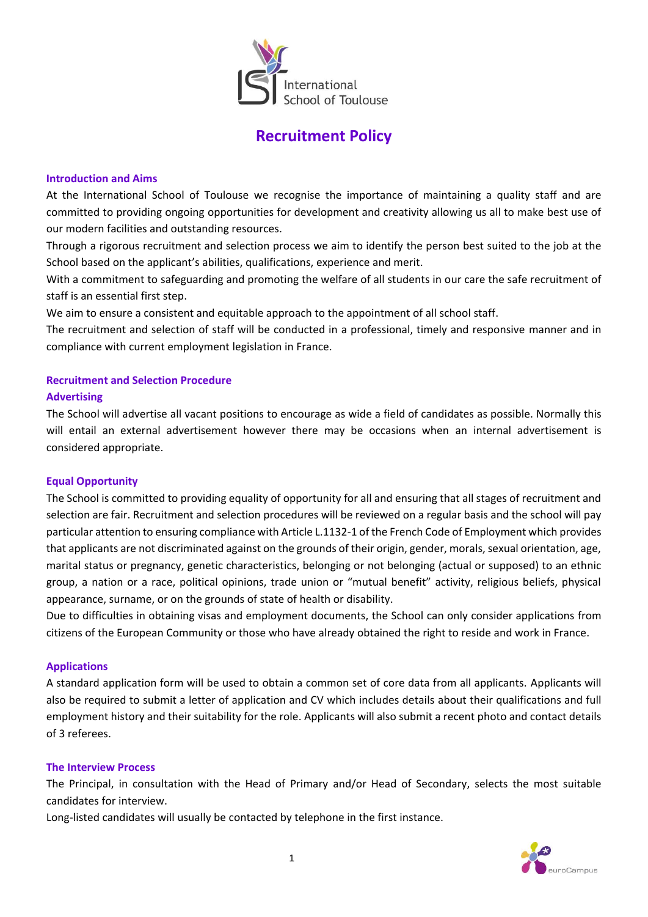

# **Recruitment Policy**

## **Introduction and Aims**

At the International School of Toulouse we recognise the importance of maintaining a quality staff and are committed to providing ongoing opportunities for development and creativity allowing us all to make best use of our modern facilities and outstanding resources.

Through a rigorous recruitment and selection process we aim to identify the person best suited to the job at the School based on the applicant's abilities, qualifications, experience and merit.

With a commitment to safeguarding and promoting the welfare of all students in our care the safe recruitment of staff is an essential first step.

We aim to ensure a consistent and equitable approach to the appointment of all school staff.

The recruitment and selection of staff will be conducted in a professional, timely and responsive manner and in compliance with current employment legislation in France.

## **Recruitment and Selection Procedure**

#### **Advertising**

The School will advertise all vacant positions to encourage as wide a field of candidates as possible. Normally this will entail an external advertisement however there may be occasions when an internal advertisement is considered appropriate.

#### **Equal Opportunity**

The School is committed to providing equality of opportunity for all and ensuring that all stages of recruitment and selection are fair. Recruitment and selection procedures will be reviewed on a regular basis and the school will pay particular attention to ensuring compliance with Article L.1132-1 of the French Code of Employment which provides that applicants are not discriminated against on the grounds of their origin, gender, morals, sexual orientation, age, marital status or pregnancy, genetic characteristics, belonging or not belonging (actual or supposed) to an ethnic group, a nation or a race, political opinions, trade union or "mutual benefit" activity, religious beliefs, physical appearance, surname, or on the grounds of state of health or disability.

Due to difficulties in obtaining visas and employment documents, the School can only consider applications from citizens of the European Community or those who have already obtained the right to reside and work in France.

## **Applications**

A standard application form will be used to obtain a common set of core data from all applicants. Applicants will also be required to submit a letter of application and CV which includes details about their qualifications and full employment history and their suitability for the role. Applicants will also submit a recent photo and contact details of 3 referees.

#### **The Interview Process**

The Principal, in consultation with the Head of Primary and/or Head of Secondary, selects the most suitable candidates for interview.

Long-listed candidates will usually be contacted by telephone in the first instance.